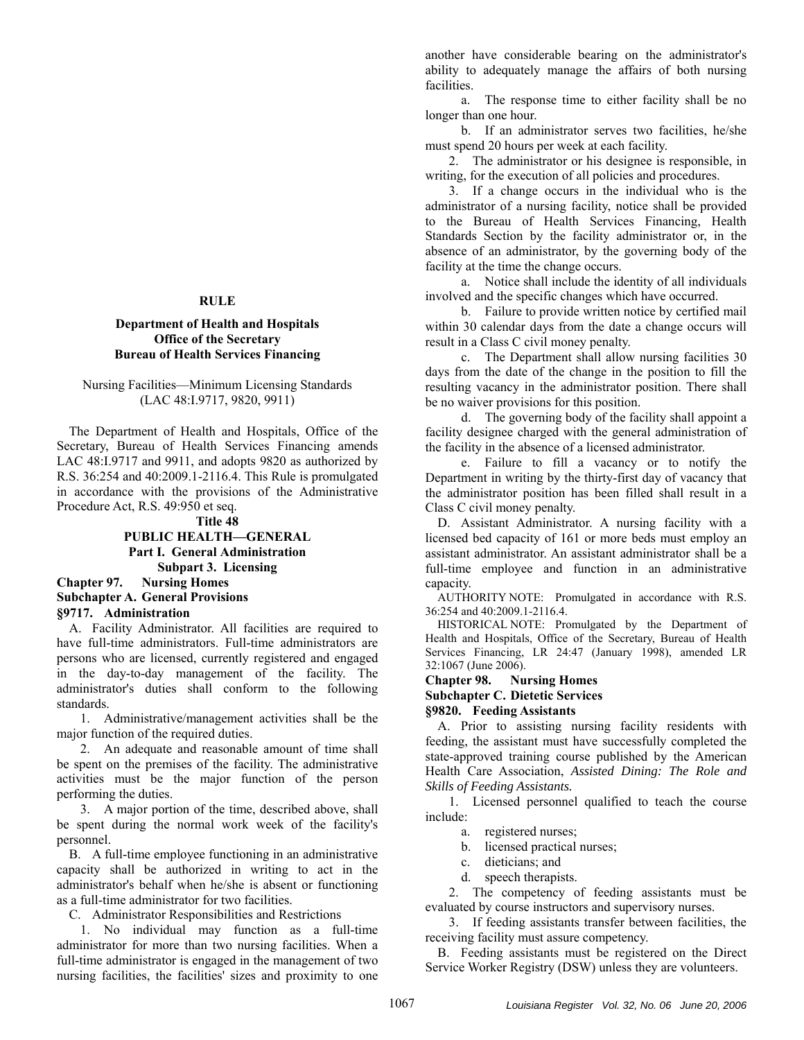#### **RULE**

# **Department of Health and Hospitals Office of the Secretary Bureau of Health Services Financing**

### Nursing Facilities—Minimum Licensing Standards (LAC 48:I.9717, 9820, 9911)

The Department of Health and Hospitals, Office of the Secretary, Bureau of Health Services Financing amends LAC 48:I.9717 and 9911, and adopts 9820 as authorized by R.S. 36:254 and 40:2009.1-2116.4. This Rule is promulgated in accordance with the provisions of the Administrative Procedure Act, R.S. 49:950 et seq.

### **Title 48**

# **PUBLIC HEALTH—GENERAL Part I. General Administration Subpart 3. Licensing**

# **Chapter 97. Nursing Homes Subchapter A. General Provisions §9717. Administration**

A. Facility Administrator. All facilities are required to have full-time administrators. Full-time administrators are persons who are licensed, currently registered and engaged in the day-to-day management of the facility. The administrator's duties shall conform to the following standards.

1. Administrative/management activities shall be the major function of the required duties.

2. An adequate and reasonable amount of time shall be spent on the premises of the facility. The administrative activities must be the major function of the person performing the duties.

3. A major portion of the time, described above, shall be spent during the normal work week of the facility's personnel.

B. A full-time employee functioning in an administrative capacity shall be authorized in writing to act in the administrator's behalf when he/she is absent or functioning as a full-time administrator for two facilities.

C. Administrator Responsibilities and Restrictions

1. No individual may function as a full-time administrator for more than two nursing facilities. When a full-time administrator is engaged in the management of two nursing facilities, the facilities' sizes and proximity to one another have considerable bearing on the administrator's ability to adequately manage the affairs of both nursing facilities.

a. The response time to either facility shall be no longer than one hour.

b. If an administrator serves two facilities, he/she must spend 20 hours per week at each facility.

2. The administrator or his designee is responsible, in writing, for the execution of all policies and procedures.

3. If a change occurs in the individual who is the administrator of a nursing facility, notice shall be provided to the Bureau of Health Services Financing, Health Standards Section by the facility administrator or, in the absence of an administrator, by the governing body of the facility at the time the change occurs.

a. Notice shall include the identity of all individuals involved and the specific changes which have occurred.

b. Failure to provide written notice by certified mail within 30 calendar days from the date a change occurs will result in a Class C civil money penalty.

c. The Department shall allow nursing facilities 30 days from the date of the change in the position to fill the resulting vacancy in the administrator position. There shall be no waiver provisions for this position.

d. The governing body of the facility shall appoint a facility designee charged with the general administration of the facility in the absence of a licensed administrator.

e. Failure to fill a vacancy or to notify the Department in writing by the thirty-first day of vacancy that the administrator position has been filled shall result in a Class C civil money penalty.

D. Assistant Administrator. A nursing facility with a licensed bed capacity of 161 or more beds must employ an assistant administrator. An assistant administrator shall be a full-time employee and function in an administrative capacity.

AUTHORITY NOTE: Promulgated in accordance with R.S. 36:254 and 40:2009.1-2116.4.

HISTORICAL NOTE: Promulgated by the Department of Health and Hospitals, Office of the Secretary, Bureau of Health Services Financing, LR 24:47 (January 1998), amended LR 32:1067 (June 2006).

### **Chapter 98. Nursing Homes Subchapter C. Dietetic Services §9820. Feeding Assistants**

A. Prior to assisting nursing facility residents with feeding, the assistant must have successfully completed the state-approved training course published by the American Health Care Association, *Assisted Dining: The Role and Skills of Feeding Assistants.*

1. Licensed personnel qualified to teach the course include:

a. registered nurses;

- b. licensed practical nurses;
- c. dieticians; and
- d. speech therapists.

2. The competency of feeding assistants must be evaluated by course instructors and supervisory nurses.

3. If feeding assistants transfer between facilities, the receiving facility must assure competency.

B. Feeding assistants must be registered on the Direct Service Worker Registry (DSW) unless they are volunteers.